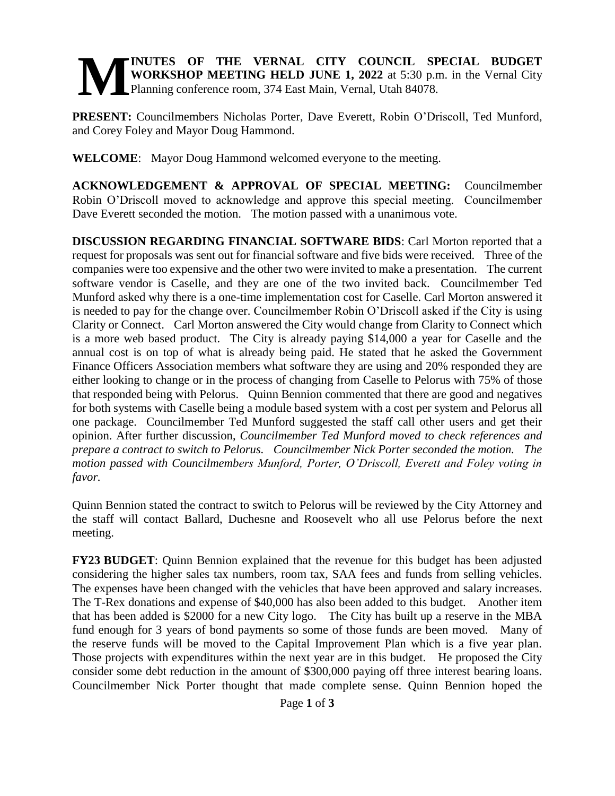## **INUTES OF THE VERNAL CITY COUNCIL SPECIAL BUDGET WORKSHOP MEETING HELD JUNE 1, 2022** at 5:30 p.m. in the Vernal City Planning conference room, 374 East Main, Vernal, Utah 84078. **M**

**PRESENT:** Councilmembers Nicholas Porter, Dave Everett, Robin O'Driscoll, Ted Munford, and Corey Foley and Mayor Doug Hammond.

**WELCOME**: Mayor Doug Hammond welcomed everyone to the meeting.

**ACKNOWLEDGEMENT & APPROVAL OF SPECIAL MEETING:** Councilmember Robin O'Driscoll moved to acknowledge and approve this special meeting. Councilmember Dave Everett seconded the motion. The motion passed with a unanimous vote.

**DISCUSSION REGARDING FINANCIAL SOFTWARE BIDS**: Carl Morton reported that a request for proposals was sent out for financial software and five bids were received. Three of the companies were too expensive and the other two were invited to make a presentation. The current software vendor is Caselle, and they are one of the two invited back. Councilmember Ted Munford asked why there is a one-time implementation cost for Caselle. Carl Morton answered it is needed to pay for the change over. Councilmember Robin O'Driscoll asked if the City is using Clarity or Connect. Carl Morton answered the City would change from Clarity to Connect which is a more web based product. The City is already paying \$14,000 a year for Caselle and the annual cost is on top of what is already being paid. He stated that he asked the Government Finance Officers Association members what software they are using and 20% responded they are either looking to change or in the process of changing from Caselle to Pelorus with 75% of those that responded being with Pelorus. Quinn Bennion commented that there are good and negatives for both systems with Caselle being a module based system with a cost per system and Pelorus all one package. Councilmember Ted Munford suggested the staff call other users and get their opinion. After further discussion, *Councilmember Ted Munford moved to check references and prepare a contract to switch to Pelorus. Councilmember Nick Porter seconded the motion. The motion passed with Councilmembers Munford, Porter, O'Driscoll, Everett and Foley voting in favor.* 

Quinn Bennion stated the contract to switch to Pelorus will be reviewed by the City Attorney and the staff will contact Ballard, Duchesne and Roosevelt who all use Pelorus before the next meeting.

**FY23 BUDGET**: Quinn Bennion explained that the revenue for this budget has been adjusted considering the higher sales tax numbers, room tax, SAA fees and funds from selling vehicles. The expenses have been changed with the vehicles that have been approved and salary increases. The T-Rex donations and expense of \$40,000 has also been added to this budget. Another item that has been added is \$2000 for a new City logo. The City has built up a reserve in the MBA fund enough for 3 years of bond payments so some of those funds are been moved. Many of the reserve funds will be moved to the Capital Improvement Plan which is a five year plan. Those projects with expenditures within the next year are in this budget. He proposed the City consider some debt reduction in the amount of \$300,000 paying off three interest bearing loans. Councilmember Nick Porter thought that made complete sense. Quinn Bennion hoped the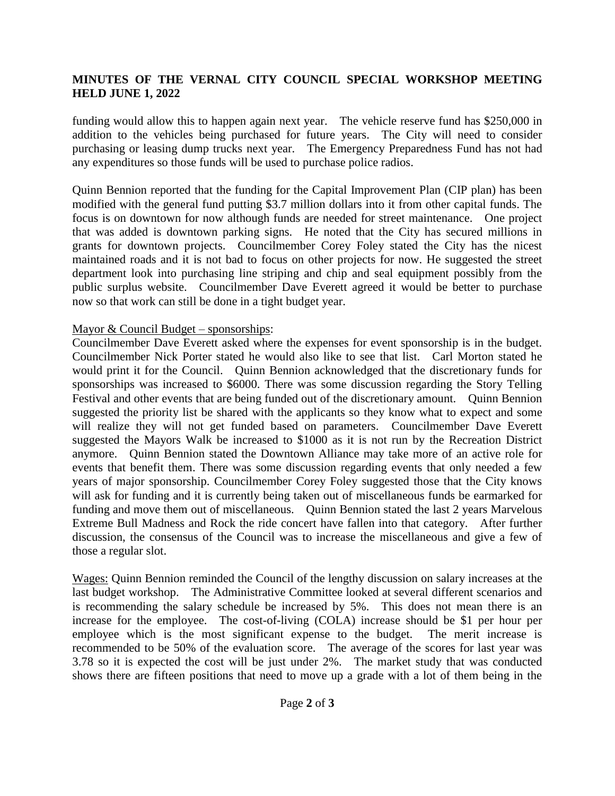## **MINUTES OF THE VERNAL CITY COUNCIL SPECIAL WORKSHOP MEETING HELD JUNE 1, 2022**

funding would allow this to happen again next year. The vehicle reserve fund has \$250,000 in addition to the vehicles being purchased for future years. The City will need to consider purchasing or leasing dump trucks next year. The Emergency Preparedness Fund has not had any expenditures so those funds will be used to purchase police radios.

Quinn Bennion reported that the funding for the Capital Improvement Plan (CIP plan) has been modified with the general fund putting \$3.7 million dollars into it from other capital funds. The focus is on downtown for now although funds are needed for street maintenance. One project that was added is downtown parking signs. He noted that the City has secured millions in grants for downtown projects. Councilmember Corey Foley stated the City has the nicest maintained roads and it is not bad to focus on other projects for now. He suggested the street department look into purchasing line striping and chip and seal equipment possibly from the public surplus website. Councilmember Dave Everett agreed it would be better to purchase now so that work can still be done in a tight budget year.

## Mayor & Council Budget – sponsorships:

Councilmember Dave Everett asked where the expenses for event sponsorship is in the budget. Councilmember Nick Porter stated he would also like to see that list. Carl Morton stated he would print it for the Council. Quinn Bennion acknowledged that the discretionary funds for sponsorships was increased to \$6000. There was some discussion regarding the Story Telling Festival and other events that are being funded out of the discretionary amount. Quinn Bennion suggested the priority list be shared with the applicants so they know what to expect and some will realize they will not get funded based on parameters. Councilmember Dave Everett suggested the Mayors Walk be increased to \$1000 as it is not run by the Recreation District anymore. Quinn Bennion stated the Downtown Alliance may take more of an active role for events that benefit them. There was some discussion regarding events that only needed a few years of major sponsorship. Councilmember Corey Foley suggested those that the City knows will ask for funding and it is currently being taken out of miscellaneous funds be earmarked for funding and move them out of miscellaneous. Quinn Bennion stated the last 2 years Marvelous Extreme Bull Madness and Rock the ride concert have fallen into that category. After further discussion, the consensus of the Council was to increase the miscellaneous and give a few of those a regular slot.

Wages: Quinn Bennion reminded the Council of the lengthy discussion on salary increases at the last budget workshop. The Administrative Committee looked at several different scenarios and is recommending the salary schedule be increased by 5%. This does not mean there is an increase for the employee. The cost-of-living (COLA) increase should be \$1 per hour per employee which is the most significant expense to the budget. The merit increase is recommended to be 50% of the evaluation score. The average of the scores for last year was 3.78 so it is expected the cost will be just under 2%. The market study that was conducted shows there are fifteen positions that need to move up a grade with a lot of them being in the